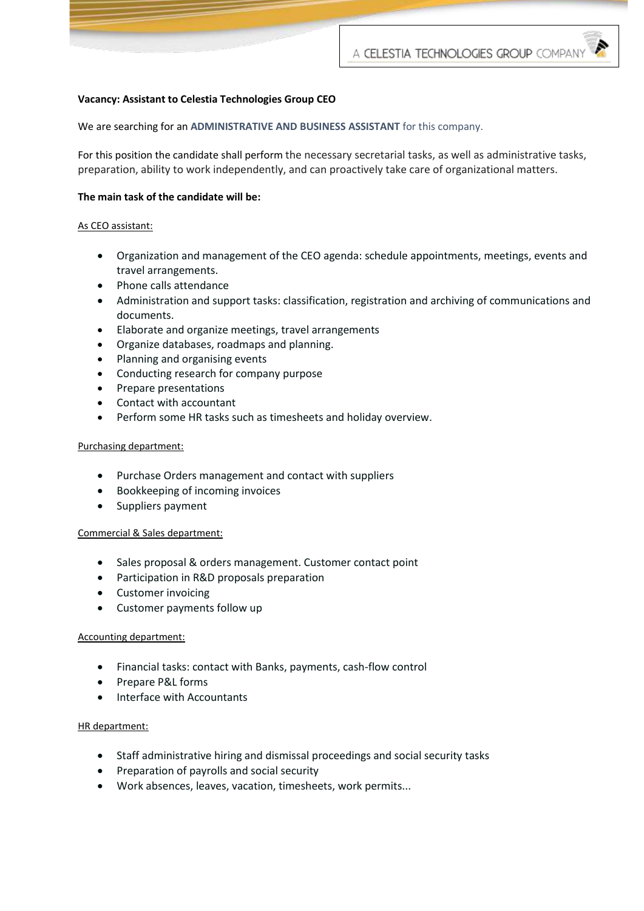## **Vacancy: Assistant to Celestia Technologies Group CEO**

We are searching for an **ADMINISTRATIVE AND BUSINESS ASSISTANT** for this company.

For this position the candidate shall perform the necessary secretarial tasks, as well as administrative tasks, preparation, ability to work independently, and can proactively take care of organizational matters.

### **The main task of the candidate will be:**

### As CEO assistant:

- Organization and management of the CEO agenda: schedule appointments, meetings, events and travel arrangements.
- Phone calls attendance
- Administration and support tasks: classification, registration and archiving of communications and documents.
- Elaborate and organize meetings, travel arrangements
- Organize databases, roadmaps and planning.
- Planning and organising events
- Conducting research for company purpose
- Prepare presentations
- Contact with accountant
- Perform some HR tasks such as timesheets and holiday overview.

#### Purchasing department:

- Purchase Orders management and contact with suppliers
- Bookkeeping of incoming invoices
- Suppliers payment

### Commercial & Sales department:

- Sales proposal & orders management. Customer contact point
- Participation in R&D proposals preparation
- Customer invoicing
- Customer payments follow up

### Accounting department:

- Financial tasks: contact with Banks, payments, cash-flow control
- Prepare P&L forms
- Interface with Accountants

### HR department:

- Staff administrative hiring and dismissal proceedings and social security tasks
- Preparation of payrolls and social security
- Work absences, leaves, vacation, timesheets, work permits...